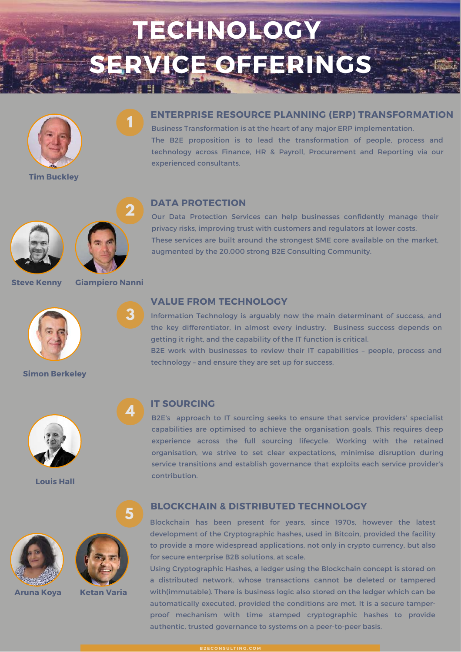# **TECHNOLOGY SERVICE OFFERINGS**



**Tim Buckley**

### **ENTERPRISE RESOURCE PLANNING (ERP) TRANSFORMATION**

Business Transformation is at the heart of any major ERP implementation. The B2E proposition is to lead the transformation of people, process and technology across Finance, HR & Payroll, Procurement and Reporting via our experienced consultants.



**Steve Kenny**



**Giampiero Nanni**

**1**

**2**

**3**

**4**



**Simon Berkeley**







**Aruna Koya Ketan Varia**

#### **DATA PROTECTION**

Our Data Protection Services can help businesses confidently manage their privacy risks, improving trust with customers and regulators at lower costs. These services are built around the strongest SME core available on the market, augmented by the 20,000 strong B2E Consulting Community.

### **VALUE FROM TECHNOLOGY**

Information Technology is arguably now the main determinant of success, and the key differentiator, in almost every industry. Business success depends on getting it right, and the capability of the IT function is critical.

B2E work with businesses to review their IT capabilities – people, process and technology – and ensure they are set up for success.

#### **IT SOURCING**

B2E's approach to IT sourcing seeks to ensure that service providers' specialist capabilities are optimised to achieve the organisation goals. This requires deep experience across the full sourcing lifecycle. Working with the retained organisation, we strive to set clear expectations, minimise disruption during service transitions and establish governance that exploits each service provider's contribution. **Louis Hall**

#### **BLOCKCHAIN & DISTRIBUTED TECHNOLOGY <sup>5</sup>**

Blockchain has been present for years, since 1970s, however the latest development of the Cryptographic hashes, used in Bitcoin, provided the facility to provide a more widespread applications, not only in crypto currency, but also for secure enterprise B2B solutions, at scale.

Using Cryptographic Hashes, a ledger using the Blockchain concept is stored on a distributed network, whose transactions cannot be deleted or tampered with(immutable). There is business logic also stored on the ledger which can be automatically executed, provided the conditions are met. It is a secure tamperproof mechanism with time stamped cryptographic hashes to provide authentic, trusted governance to systems on a peer-to-peer basis.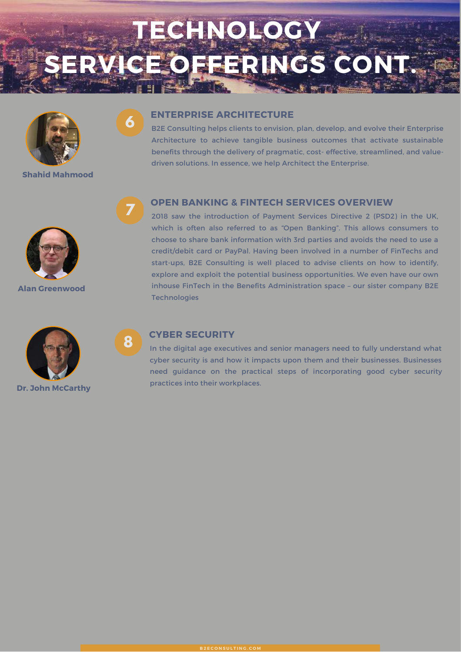# **TECHNOLOGY OFFERINGS CON**



**6**

**Shahid Mahmood**



**Alan Greenwood**



# **Dr. John McCarthy**

### **ENTERPRISE ARCHITECTURE**

B2E Consulting helps clients to envision, plan, develop, and evolve their Enterprise Architecture to achieve tangible business outcomes that activate sustainable benefits through the delivery of pragmatic, cost- effective, streamlined, and valuedriven solutions. In essence, we help Architect the Enterprise.

# **OPEN BANKING & FINTECH SERVICES OVERVIEW 7**

2018 saw the introduction of Payment Services Directive 2 (PSD2) in the UK, which is often also referred to as "Open Banking". This allows consumers to choose to share bank information with 3rd parties and avoids the need to use a credit/debit card or PayPal. Having been involved in a number of FinTechs and start-ups, B2E Consulting is well placed to advise clients on how to identify, explore and exploit the potential business opportunities. We even have our own inhouse FinTech in the Benefits Administration space – our sister company B2E **Technologies** 

### **CYBER SECURITY 8**

In the digital age executives and senior managers need to fully understand what cyber security is and how it impacts upon them and their businesses. Businesses need guidance on the practical steps of incorporating good cyber security practices into their workplaces.

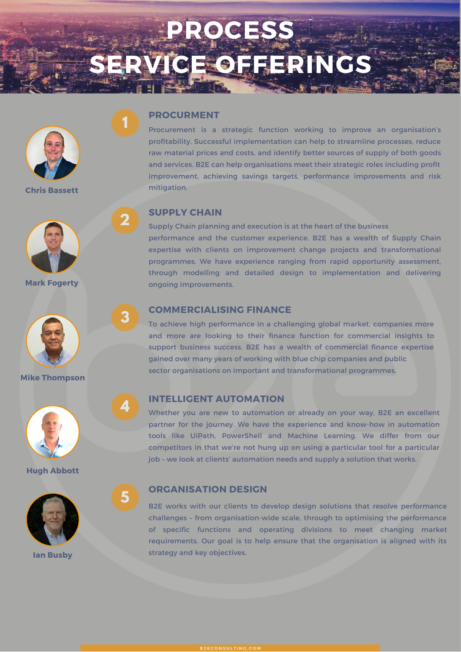# **PROCESS SERVICE OFFERINGS**



**Chris Bassett**



**Mark Fogerty**





**Hugh Abbott**



#### **PROCURMENT**

**1**

**2**

**3**

**4**

**5**

Procurement is a strategic function working to improve an organisation's profitability. Successful implementation can help to streamline processes, reduce raw material prices and costs, and identify better sources of supply of both goods and services. B2E can help organisations meet their strategic roles including profit improvement, achieving savings targets, performance improvements and risk mitigation.

#### **SUPPLY CHAIN**

Supply Chain planning and execution is at the heart of the business performance and the customer experience. B2E has a wealth of Supply Chain expertise with clients on improvement change projects and transformational programmes. We have experience ranging from rapid opportunity assessment, through modelling and detailed design to implementation and delivering ongoing improvements.

#### **COMMERCIALISING FINANCE**

To achieve high performance in a challenging global market, companies more and more are looking to their finance function for commercial insights to support business success. B2E has a wealth of commercial finance expertise gained over many years of working with blue chip companies and public sector organisations on important and transformational programmes. **Mike Thompson**

# **INTELLIGENT AUTOMATION**

Whether you are new to automation or already on your way, B2E an excellent partner for the journey. We have the experience and know-how in automation tools like UiPath, PowerShell and Machine Learning. We differ from our competitors in that we're not hung up on using a particular tool for a particular job – we look at clients' automation needs and supply a solution that works.

# **ORGANISATION DESIGN**

B2E works with our clients to develop design solutions that resolve performance challenges – from organisation-wide scale, through to optimising the performance of specific functions and operating divisions to meet changing market requirements. Our goal is to help ensure that the organisation is aligned with its strategy and key objectives. **Ian Busby**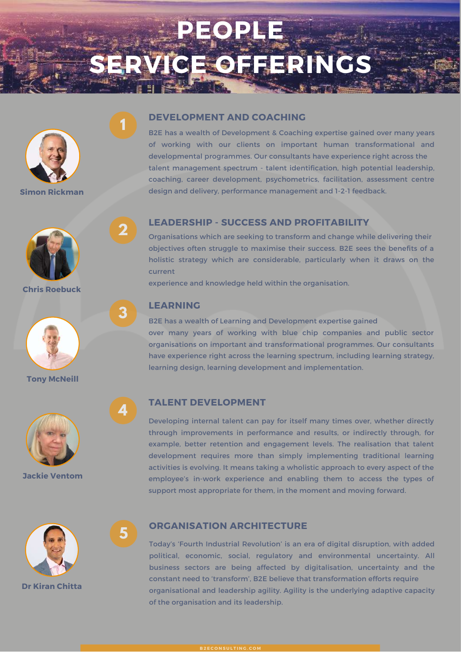# **PEOPLE CEOFFERING**



**1**

**2**

**3**

**4**

**5**

**Simon Rickman**



**Chris Roebuck**



**Tony McNeill**



**Jackie Ventom**



**Dr Kiran Chitta**

#### **DEVELOPMENT AND COACHING**

B2E has a wealth of Development & Coaching expertise gained over many years of working with our clients on important human transformational and developmental programmes. Our consultants have experience right across the talent management spectrum - talent identification, high potential leadership, coaching, career development, psychometrics, facilitation, assessment centre design and delivery, performance management and 1-2-1 feedback.

# **LEADERSHIP - SUCCESS AND PROFITABILITY**

Organisations which are seeking to transform and change while delivering their objectives often struggle to maximise their success. B2E sees the benefits of a holistic strategy which are considerable, particularly when it draws on the current

experience and knowledge held within the organisation.

# **LEARNING**

B2E has a wealth of Learning and Development expertise gained over many years of working with blue chip companies and public sector organisations on important and transformational programmes. Our consultants have experience right across the learning spectrum, including learning strategy, learning design, learning development and implementation.

# **TALENT DEVELOPMENT**

Developing internal talent can pay for itself many times over, whether directly through improvements in performance and results, or indirectly through, for example, better retention and engagement levels. The realisation that talent development requires more than simply implementing traditional learning activities is evolving. It means taking a wholistic approach to every aspect of the employee's in-work experience and enabling them to access the types of support most appropriate for them, in the moment and moving forward.

#### **ORGANISATION ARCHITECTURE**

Today's 'Fourth Industrial Revolution' is an era of digital disruption, with added political, economic, social, regulatory and environmental uncertainty. All business sectors are being affected by digitalisation, uncertainty and the constant need to 'transform', B2E believe that transformation efforts require organisational and leadership agility. Agility is the underlying adaptive capacity of the organisation and its leadership.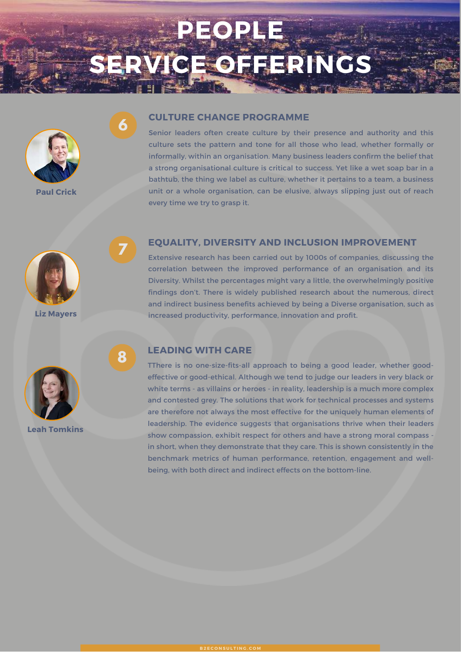# **PEOPLE SERVICE OFFERINGS**



**6**

**7**

**8**

**Paul Crick**

#### **CULTURE CHANGE PROGRAMME**

Senior leaders often create culture by their presence and authority and this culture sets the pattern and tone for all those who lead, whether formally or informally, within an organisation. Many business leaders confirm the belief that a strong organisational culture is critical to success. Yet like a wet soap bar in a bathtub, the thing we label as culture, whether it pertains to a team, a business unit or a whole organisation, can be elusive, always slipping just out of reach every time we try to grasp it.



**Liz Mayers**

### **EQUALITY, DIVERSITY AND INCLUSION IMPROVEMENT**

Extensive research has been carried out by 1000s of companies, discussing the correlation between the improved performance of an organisation and its Diversity. Whilst the percentages might vary a little, the overwhelmingly positive findings don't. There is widely published research about the numerous, direct and indirect business benefits achieved by being a Diverse organisation, such as increased productivity, performance, innovation and profit.



**Leah Tomkins**

# **LEADING WITH CARE**

TThere is no one-size-fits-all approach to being a good leader, whether goodeffective or good-ethical. Although we tend to judge our leaders in very black or white terms - as villains or heroes - in reality, leadership is a much more complex and contested grey. The solutions that work for technical processes and systems are therefore not always the most effective for the uniquely human elements of leadership. The evidence suggests that organisations thrive when their leaders show compassion, exhibit respect for others and have a strong moral compass in short, when they demonstrate that they care. This is shown consistently in the benchmark metrics of human performance, retention, engagement and wellbeing, with both direct and indirect effects on the bottom-line.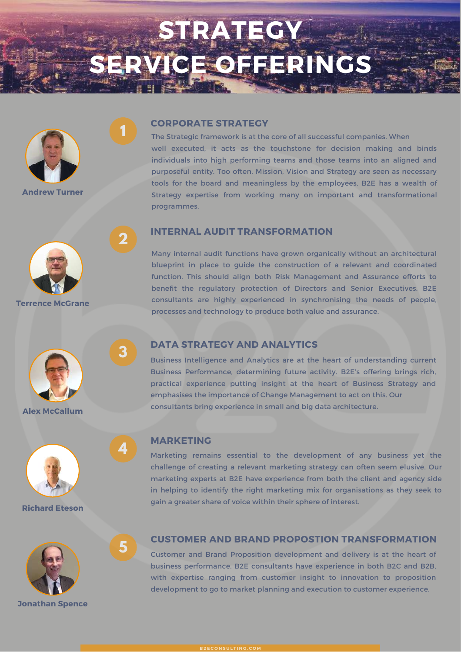# **STRATEGY SERVICE OFFERINGS**



**1**

**2**

**3**

**4**

**5**

**Andrew Turner**



**Terrence McGrane**







#### **CORPORATE STRATEGY**

The Strategic framework is at the core of all successful companies. When well executed, it acts as the touchstone for decision making and binds individuals into high performing teams and those teams into an aligned and purposeful entity. Too often, Mission, Vision and Strategy are seen as necessary tools for the board and meaningless by the employees. B2E has a wealth of Strategy expertise from working many on important and transformational programmes.

#### **INTERNAL AUDIT TRANSFORMATION**

Many internal audit functions have grown organically without an architectural blueprint in place to guide the construction of a relevant and coordinated function. This should align both Risk Management and Assurance efforts to benefit the regulatory protection of Directors and Senior Executives. B2E consultants are highly experienced in synchronising the needs of people, processes and technology to produce both value and assurance.

# **DATA STRATEGY AND ANALYTICS**

Business Intelligence and Analytics are at the heart of understanding current Business Performance, determining future activity. B2E's offering brings rich, practical experience putting insight at the heart of Business Strategy and emphasises the importance of Change Management to act on this. Our consultants bring experience in small and big data architecture. **Alex McCallum**

#### **MARKETING**

Marketing remains essential to the development of any business yet the challenge of creating a relevant marketing strategy can often seem elusive. Our marketing experts at B2E have experience from both the client and agency side in helping to identify the right marketing mix for organisations as they seek to gain <sup>a</sup> greater share of voice within their sphere of interest. **Richard Eteson**

#### **CUSTOMER AND BRAND PROPOSTION TRANSFORMATION**

Customer and Brand Proposition development and delivery is at the heart of business performance. B2E consultants have experience in both B2C and B2B, with expertise ranging from customer insight to innovation to proposition development to go to market planning and execution to customer experience.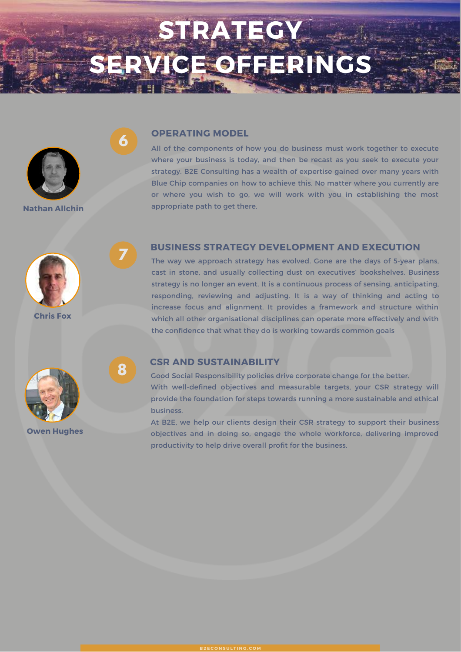# **STRATEGY SERVICE OFFERINGS**



#### **OPERATING MODEL**

All of the components of how you do business must work together to execute where your business is today, and then be recast as you seek to execute your strategy. B2E Consulting has a wealth of expertise gained over many years with Blue Chip companies on how to achieve this. No matter where you currently are or where you wish to go, we will work with you in establishing the most **Nathan Allchin appropriate path to get there.** 



**7**

**8**

**6**

**Chris Fox**



The way we approach strategy has evolved. Gone are the days of 5-year plans, cast in stone, and usually collecting dust on executives' bookshelves. Business strategy is no longer an event. It is a continuous process of sensing, anticipating, responding, reviewing and adjusting. It is a way of thinking and acting to increase focus and alignment. It provides a framework and structure within which all other organisational disciplines can operate more effectively and with the confidence that what they do is working towards common goals



**Owen Hughes**

#### **CSR AND SUSTAINABILITY**

Good Social Responsibility policies drive corporate change for the better. With well-defined objectives and measurable targets, your CSR strategy will provide the foundation for steps towards running a more sustainable and ethical business.

At B2E, we help our clients design their CSR strategy to support their business objectives and in doing so, engage the whole workforce, delivering improved productivity to help drive overall profit for the business.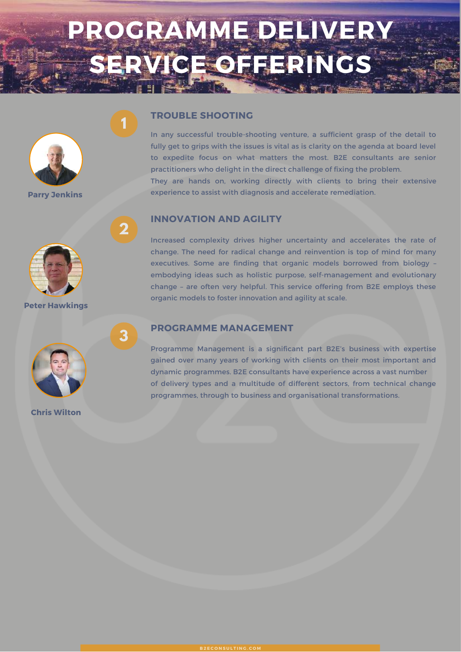# **PROGRAMME DELIVERY SERVICE OFFERINGS**



**Parry Jenkins**



**Peter Hawkings**



**Chris Wilton**

### **TROUBLE SHOOTING**

**1**

**2**

**3**

In any successful trouble-shooting venture, a sufficient grasp of the detail to fully get to grips with the issues is vital as is clarity on the agenda at board level to expedite focus on what matters the most. B2E consultants are senior practitioners who delight in the direct challenge of fixing the problem.

They are hands on, working directly with clients to bring their extensive experience to assist with diagnosis and accelerate remediation.

### **INNOVATION AND AGILITY**

Increased complexity drives higher uncertainty and accelerates the rate of change. The need for radical change and reinvention is top of mind for many executives. Some are finding that organic models borrowed from biology – embodying ideas such as holistic purpose, self-management and evolutionary change – are often very helpful. This service offering from B2E employs these organic models to foster innovation and agility at scale.

### **PROGRAMME MANAGEMENT**

Programme Management is a significant part B2E's business with expertise gained over many years of working with clients on their most important and dynamic programmes. B2E consultants have experience across a vast number of delivery types and a multitude of different sectors, from technical change programmes, through to business and organisational transformations.